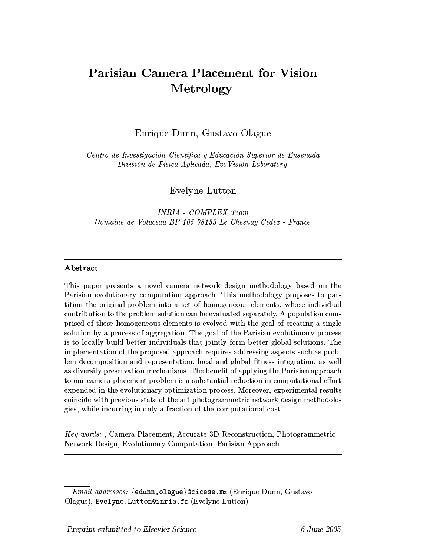# **Parisian Camera Placement for Vision** Metrology

Enrique Dunn, Gustavo Olague

Centro de Investigación Científica y Educación Superior de Ensenada División de Física Aplicada, Evo Visión Laboratory

Evelyne Lutton

**INRIA** - COMPLEX Team Domaine de Voluceau BP 105 78153 Le Chesnau Cedex - France

# Abstract

This paper presents a novel camera network design methodology based on the Parisian evolutionary computation approach. This methodology proposes to partition the original problem into a set of homogeneous elements, whose individual contribution to the problem solution can be evaluated separately. A population comprised of these homogeneous elements is evolved with the goal of creating a single solution by a process of aggregation. The goal of the Parisian evolutionary process is to locally build better individuals that jointly form better global solutions. The implementation of the proposed approach requires addressing aspects such as problem decomposition and representation, local and global fitness integration, as well as diversity preservation mechanisms. The benefit of applying the Parisian approach to our camera placement problem is a substantial reduction in computational effort expended in the evolutionary optimization process. Moreover, experimental results coincide with previous state of the art photogrammetric network design methodologies, while incurring in only a fraction of the computational cost.

Key words:, Camera Placement, Accurate 3D Reconstruction, Photogrammetric Network Design, Evolutionary Computation, Parisian Approach

*Email addresses:* {edunn, olague}@cicese.mx (Enrique Dunn, Gustavo Olague), Evelyne. Lutton@inria.fr (Evelyne Lutton).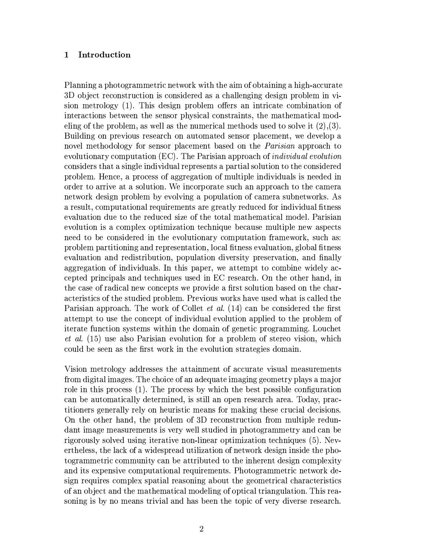#### $\mathbf{1}$ Introduction

Planning a photogrammetric network with the aim of obtaining a high-accurate 3D object reconstruction is considered as a challenging design problem in vision metrology (1). This design problem offers an intricate combination of interactions between the sensor physical constraints, the mathematical modeling of the problem, as well as the numerical methods used to solve it  $(2),(3)$ . Building on previous research on automated sensor placement, we develop a novel methodology for sensor placement based on the *Parisian* approach to evolutionary computation (EC). The Parisian approach of *individual evolution* considers that a single individual represents a partial solution to the considered problem. Hence, a process of aggregation of multiple individuals is needed in order to arrive at a solution. We incorporate such an approach to the camera network design problem by evolving a population of camera subnetworks. As a result, computational requirements are greatly reduced for individual fitness evaluation due to the reduced size of the total mathematical model. Parisian evolution is a complex optimization technique because multiple new aspects need to be considered in the evolutionary computation framework, such as: problem partitioning and representation, local fitness evaluation, global fitness evaluation and redistribution, population diversity preservation, and finally aggregation of individuals. In this paper, we attempt to combine widely accepted principals and techniques used in EC research. On the other hand, in the case of radical new concepts we provide a first solution based on the characteristics of the studied problem. Previous works have used what is called the Parisian approach. The work of Collet et al. (14) can be considered the first attempt to use the concept of individual evolution applied to the problem of iterate function systems within the domain of genetic programming. Louchet *et al.* (15) use also Parisian evolution for a problem of stereo vision, which could be seen as the first work in the evolution strategies domain.

Vision metrology addresses the attainment of accurate visual measurements from digital images. The choice of an adequate imaging geometry plays a major role in this process (1). The process by which the best possible configuration can be automatically determined, is still an open research area. Today, practitioners generally rely on heuristic means for making these crucial decisions. On the other hand, the problem of 3D reconstruction from multiple redundant image measurements is very well studied in photogrammetry and can be rigorously solved using iterative non-linear optimization techniques (5). Nevertheless, the lack of a widespread utilization of network design inside the photogrammetric community can be attributed to the inherent design complexity and its expensive computational requirements. Photogrammetric network design requires complex spatial reasoning about the geometrical characteristics of an object and the mathematical modeling of optical triangulation. This reasoning is by no means trivial and has been the topic of very diverse research.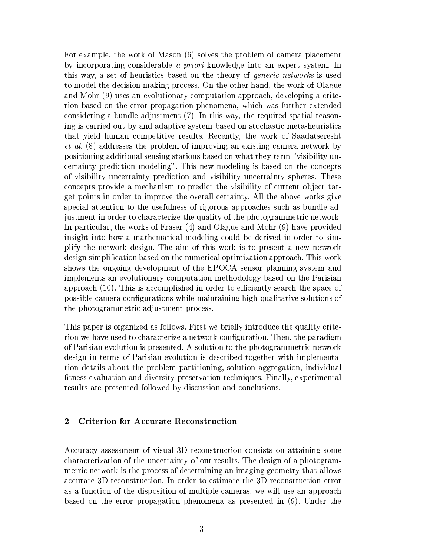For example, the work of Mason (6) solves the problem of camera placement by incorporating considerable *a priori* knowledge into an expert system. In this way, a set of heuristics based on the theory of *generic networks* is used to model the decision making process. On the other hand, the work of Olague and Mohr (9) uses an evolutionary computation approach, developing a criterion based on the error propagation phenomena, which was further extended considering a bundle adjustment (7). In this way, the required spatial reasoning is carried out by and adaptive system based on stochastic meta-heuristics that yield human competitive results. Recently, the work of Saadatseresht *et al.* (8) addresses the problem of improving an existing camera network by positioning additional sensing stations based on what they term "visibility uncertainty prediction modeling". This new modeling is based on the concepts of visibility uncertainty prediction and visibility uncertainty spheres. These concepts provide a mechanism to predict the visibility of current object target points in order to improve the overall certainty. All the above works give special attention to the usefulness of rigorous approaches such as bundle adjustment in order to characterize the quality of the photogrammetric network. In particular, the works of Fraser (4) and Olague and Mohr (9) have provided insight into how a mathematical modeling could be derived in order to simplify the network design. The aim of this work is to present a new network design simplification based on the numerical optimization approach. This work shows the ongoing development of the EPOCA sensor planning system and implements an evolutionary computation methodology based on the Parisian approach (10). This is accomplished in order to efficiently search the space of possible camera configurations while maintaining high-qualitative solutions of the photogrammetric adjustment process.

This paper is organized as follows. First we briefly introduce the quality criterion we have used to characterize a network configuration. Then, the paradigm of Parisian evolution is presented. A solution to the photogrammetric network design in terms of Parisian evolution is described together with implementation details about the problem partitioning, solution aggregation, individual fitness evaluation and diversity preservation techniques. Finally, experimental results are presented followed by discussion and conclusions.

### $\overline{2}$ **Criterion for Accurate Reconstruction**

Accuracy assessment of visual 3D reconstruction consists on attaining some characterization of the uncertainty of our results. The design of a photogrammetric network is the process of determining an imaging geometry that allows accurate 3D reconstruction. In order to estimate the 3D reconstruction error as a function of the disposition of multiple cameras, we will use an approach based on the error propagation phenomena as presented in (9). Under the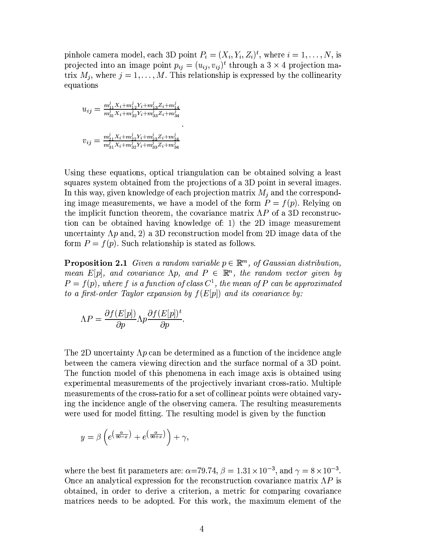pinhole camera model, each 3D point  $P_i = (X_i, Y_i, Z_i)^t$ , where  $i = 1, ..., N$ , is projected into an image point  $p_{ij} = (u_{ij}, v_{ij})^t$  through a  $3 \times 4$  projection matrix  $M_j$ , where  $j = 1, ..., M$ . This relationship is expressed by the collinearity equations

$$
\begin{aligned} u_{ij} &= \tfrac{m_{i1}^j X_i + m_{12}^j Y_i + m_{13}^j Z_i + m_{14}^j}{m_{31}^j X_i + m_{32}^j Y_i + m_{33}^j Z_i + m_{34}^j} \\ v_{ij} &= \tfrac{m_{21}^j X_i + m_{22}^j Y_i + m_{23}^j Z_i + m_{24}^j}{m_{31}^j X_i + m_{32}^j Y_i + m_{33}^j Z_i + m_{34}^j} \end{aligned}
$$

Using these equations, optical triangulation can be obtained solving a least squares system obtained from the projections of a 3D point in several images. In this way, given knowledge of each projection matrix  $M_i$  and the corresponding image measurements, we have a model of the form  $P = f(p)$ . Relying on the implicit function theorem, the covariance matrix  $\Lambda P$  of a 3D reconstruction can be obtained having knowledge of: 1) the 2D image measurement uncertainty  $\Lambda p$  and, 2) a 3D reconstruction model from 2D image data of the form  $P = f(p)$ . Such relationship is stated as follows.

**Proposition 2.1** Given a random variable  $p \in \mathbb{R}^m$ , of Gaussian distribution, mean E[p], and covariance  $\Lambda p$ , and  $P \in \mathbb{R}^n$ , the random vector given by  $P = f(p)$ , where f is a function of class  $C^1$ , the mean of P can be approximated to a first-order Taylor expansion by  $f(E[p])$  and its covariance by:

$$
\Lambda P = \frac{\partial f(E[p])}{\partial p} \Lambda p \frac{\partial f(E[p])^t}{\partial p}.
$$

The 2D uncertainty  $\Lambda p$  can be determined as a function of the incidence angle between the camera viewing direction and the surface normal of a 3D point. The function model of this phenomena in each image axis is obtained using experimental measurements of the projectively invariant cross-ratio. Multiple measurements of the cross-ratio for a set of collinear points were obtained varying the incidence angle of the observing camera. The resulting measurements were used for model fitting. The resulting model is given by the function

$$
y = \beta \left( e^{\left(\frac{\alpha}{90-x}\right)} + e^{\left(\frac{\alpha}{90+x}\right)} \right) + \gamma,
$$

where the best fit parameters are:  $\alpha$ =79.74,  $\beta$  = 1.31 × 10<sup>-3</sup>, and  $\gamma = 8 \times 10^{-3}$ . Once an analytical expression for the reconstruction covariance matrix  $\Lambda P$  is obtained, in order to derive a criterion, a metric for comparing covariance matrices needs to be adopted. For this work, the maximum element of the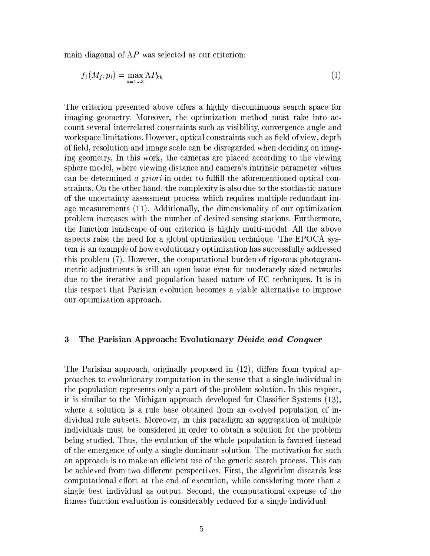main diagonal of  $\Lambda P$  was selected as our criterion:

$$
f_1(M_j, p_i) = \max_{k=1...3} \Lambda P_{kk} \tag{1}
$$

The criterion presented above offers a highly discontinuous search space for imaging geometry. Moreover, the optimization method must take into account several interrelated constraints such as visibility, convergence angle and workspace limitations. However, optical constraints such as field of view, depth of field, resolution and image scale can be disregarded when deciding on imaging geometry. In this work, the cameras are placed according to the viewing sphere model, where viewing distance and camera's intrinsic parameter values can be determined a priori in order to fulfill the aforementioned optical constraints. On the other hand, the complexity is also due to the stochastic nature of the uncertainty assessment process which requires multiple redundant image measurements (11). Additionally, the dimensionality of our optimization problem increases with the number of desired sensing stations. Furthermore, the function landscape of our criterion is highly multi-modal. All the above aspects raise the need for a global optimization technique. The EPOCA system is an example of how evolutionary optimization has successfully addressed this problem (7). However, the computational burden of rigorous photogrammetric adjustments is still an open issue even for moderately sized networks due to the iterative and population based nature of EC techniques. It is in this respect that Parisian evolution becomes a viable alternative to improve our optimization approach.

### $\bf{3}$ The Parisian Approach: Evolutionary Divide and Conquer

The Parisian approach, originally proposed in (12), differs from typical approaches to evolutionary computation in the sense that a single individual in the population represents only a part of the problem solution. In this respect, it is similar to the Michigan approach developed for Classifier Systems (13), where a solution is a rule base obtained from an evolved population of individual rule subsets. Moreover, in this paradigm an aggregation of multiple individuals must be considered in order to obtain a solution for the problem being studied. Thus, the evolution of the whole population is favored instead of the emergence of only a single dominant solution. The motivation for such an approach is to make an efficient use of the genetic search process. This can be achieved from two different perspectives. First, the algorithm discards less computational effort at the end of execution, while considering more than a single best individual as output. Second, the computational expense of the fitness function evaluation is considerably reduced for a single individual.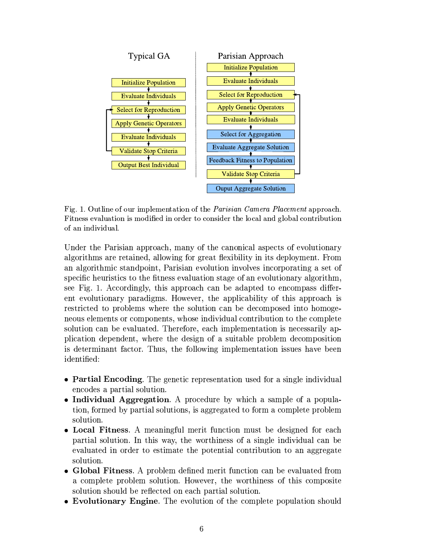

Fig. 1. Outline of our implementation of the *Parisian Camera Placement* approach. Fitness evaluation is modified in order to consider the local and global contribution of an individual.

Under the Parisian approach, many of the canonical aspects of evolutionary algorithms are retained, allowing for great flexibility in its deployment. From an algorithmic standpoint. Parisian evolution involves incorporating a set of specific heuristics to the fitness evaluation stage of an evolutionary algorithm, see Fig. 1. Accordingly, this approach can be adapted to encompass different evolutionary paradigms. However, the applicability of this approach is restricted to problems where the solution can be decomposed into homogeneous elements or components, whose individual contribution to the complete solution can be evaluated. Therefore, each implementation is necessarily application dependent, where the design of a suitable problem decomposition is determinant factor. Thus, the following implementation issues have been identified:

- Partial Encoding. The genetic representation used for a single individual encodes a partial solution.
- Individual Aggregation. A procedure by which a sample of a population, formed by partial solutions, is aggregated to form a complete problem solution.
- Local Fitness. A meaningful merit function must be designed for each partial solution. In this way, the worthiness of a single individual can be evaluated in order to estimate the potential contribution to an aggregate solution.
- Global Fitness. A problem defined merit function can be evaluated from a complete problem solution. However, the worthiness of this composite solution should be reflected on each partial solution.
- Evolutionary Engine. The evolution of the complete population should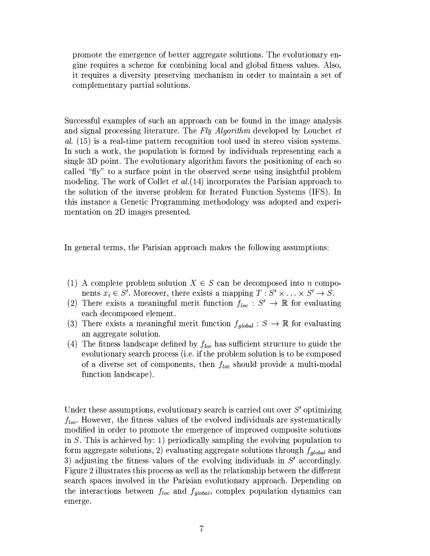promote the emergence of better aggregate solutions. The evolutionary engine requires a scheme for combining local and global fitness values. Also, it requires a diversity preserving mechanism in order to maintain a set of complementary partial solutions.

Successful examples of such an approach can be found in the image analysis and signal processing literature. The Fly Algorithm developed by Louchet et al. (15) is a real-time pattern recognition tool used in stereo vision systems. In such a work, the population is formed by individuals representing each a single 3D point. The evolutionary algorithm favors the positioning of each so called "fly" to a surface point in the observed scene using insightful problem modeling. The work of Collet *et al.* (14) incorporates the Parisian approach to the solution of the inverse problem for Iterated Function Systems (IFS). In this instance a Genetic Programming methodology was adopted and experimentation on 2D images presented.

In general terms, the Parisian approach makes the following assumptions:

- (1) A complete problem solution  $X \in S$  can be decomposed into *n* components  $x_i \in S'$ . Moreover, there exists a mapping  $T : S' \times \ldots \times S' \rightarrow S$ .
- (2) There exists a meaningful merit function  $f_{loc}: S' \to \mathbb{R}$  for evaluating each decomposed element.
- (3) There exists a meaningful merit function  $f_{global}$ :  $S \rightarrow \mathbb{R}$  for evaluating an aggregate solution.
- (4) The fitness landscape defined by  $f_{loc}$  has sufficient structure to guide the evolutionary search process (i.e. if the problem solution is to be composed of a diverse set of components, then  $f_{loc}$  should provide a multi-modal function landscape).

Under these assumptions, evolutionary search is carried out over  $S'$  optimizing  $f_{loc}$ . However, the fitness values of the evolved individuals are systematically modified in order to promote the emergence of improved composite solutions in  $S$ . This is achieved by: 1) periodically sampling the evolving population to form aggregate solutions, 2) evaluating aggregate solutions through  $f_{global}$  and 3) adjusting the fitness values of the evolving individuals in  $S'$  accordingly. Figure 2 illustrates this process as well as the relationship between the different search spaces involved in the Parisian evolutionary approach. Depending on the interactions between  $f_{loc}$  and  $f_{global}$ , complex population dynamics can emerge.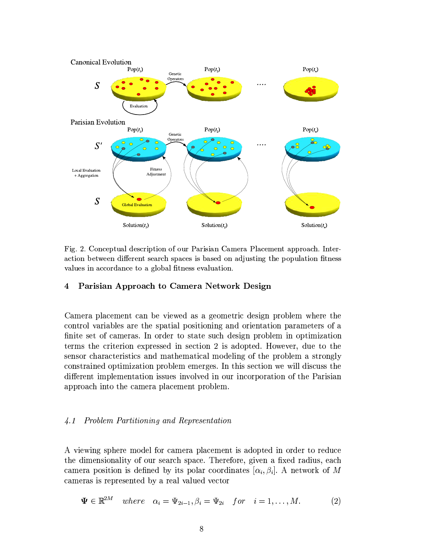

Fig. 2. Conceptual description of our Parisian Camera Placement approach. Interaction between different search spaces is based on adjusting the population fitness values in accordance to a global fitness evaluation.

# Parisian Approach to Camera Network Design  $\overline{\mathbf{4}}$

Camera placement can be viewed as a geometric design problem where the control variables are the spatial positioning and orientation parameters of a finite set of cameras. In order to state such design problem in optimization terms the criterion expressed in section 2 is adopted. However, due to the sensor characteristics and mathematical modeling of the problem a strongly constrained optimization problem emerges. In this section we will discuss the different implementation issues involved in our incorporation of the Parisian approach into the camera placement problem.

#### $\sqrt{4.1}$ Problem Partitioning and Representation

A viewing sphere model for camera placement is adopted in order to reduce the dimensionality of our search space. Therefore, given a fixed radius, each camera position is defined by its polar coordinates  $[\alpha_i, \beta_i]$ . A network of M cameras is represented by a real valued vector

$$
\Psi \in \mathbb{R}^{2M} \quad where \quad \alpha_i = \Psi_{2i-1}, \beta_i = \Psi_{2i} \quad for \quad i = 1, \dots, M. \tag{2}
$$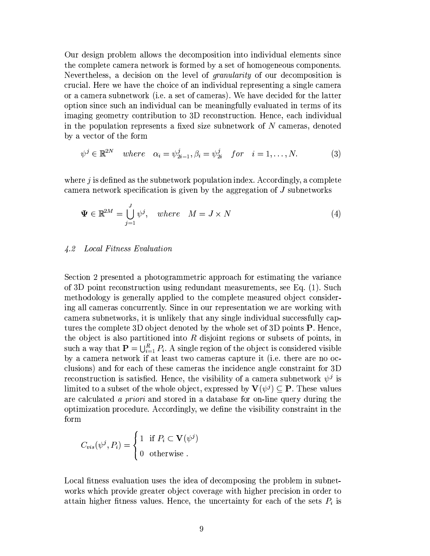Our design problem allows the decomposition into individual elements since the complete camera network is formed by a set of homogeneous components. Nevertheless, a decision on the level of *granularity* of our decomposition is crucial. Here we have the choice of an individual representing a single camera or a camera subnetwork (i.e. a set of cameras). We have decided for the latter option since such an individual can be meaningfully evaluated in terms of its imaging geometry contribution to 3D reconstruction. Hence, each individual in the population represents a fixed size subnetwork of  $N$  cameras, denoted by a vector of the form

$$
\psi^j \in \mathbb{R}^{2N} \quad where \quad \alpha_i = \psi_{2i-1}^j, \beta_i = \psi_{2i}^j \quad for \quad i = 1, \dots, N. \tag{3}
$$

where  $j$  is defined as the subnetwork population index. Accordingly, a complete camera network specification is given by the aggregation of J subnetworks

$$
\Psi \in \mathbb{R}^{2M} = \bigcup_{j=1}^{J} \psi^j, \quad where \quad M = J \times N \tag{4}
$$

# 4.2 Local Fitness Evaluation

Section 2 presented a photogrammetric approach for estimating the variance of 3D point reconstruction using redundant measurements, see Eq. (1). Such methodology is generally applied to the complete measured object considering all cameras concurrently. Since in our representation we are working with camera subnetworks, it is unlikely that any single individual successfully captures the complete 3D object denoted by the whole set of 3D points **P**. Hence, the object is also partitioned into  $R$  disjoint regions or subsets of points, in such a way that  $\mathbf{P} = \bigcup_{i=1}^{R} P_i$ . A single region of the object is considered visible by a camera network if at least two cameras capture it (i.e. there are no occlusions) and for each of these cameras the incidence angle constraint for 3D reconstruction is satisfied. Hence, the visibility of a camera subnetwork  $\psi^j$  is limited to a subset of the whole object, expressed by  $V(\psi^j) \subset P$ . These values are calculated a priori and stored in a database for on-line query during the optimization procedure. Accordingly, we define the visibility constraint in the form

$$
C_{vis}(\psi^j, P_i) = \begin{cases} 1 & \text{if } P_i \subset \mathbf{V}(\psi^j) \\ 0 & \text{otherwise} \end{cases}
$$

Local fitness evaluation uses the idea of decomposing the problem in subnetworks which provide greater object coverage with higher precision in order to attain higher fitness values. Hence, the uncertainty for each of the sets  $P_i$  is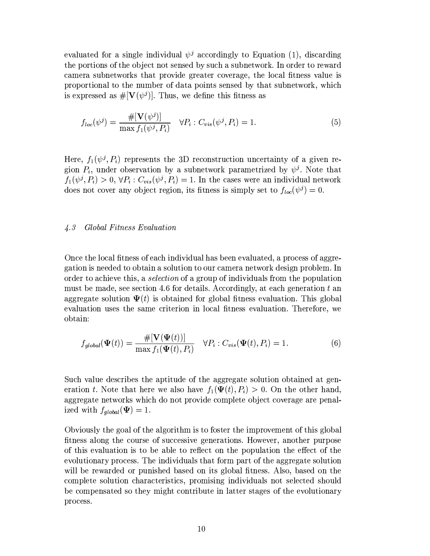evaluated for a single individual  $\psi^j$  accordingly to Equation (1), discarding the portions of the object not sensed by such a subnetwork. In order to reward camera subnetworks that provide greater coverage, the local fitness value is proportional to the number of data points sensed by that subnetwork, which is expressed as  $\#[\mathbf{V}(\psi^j)]$ . Thus, we define this fitness as

$$
f_{loc}(\psi^j) = \frac{\#[\mathbf{V}(\psi^j)]}{\max f_1(\psi^j, P_i)} \quad \forall P_i : C_{vis}(\psi^j, P_i) = 1.
$$
 (5)

Here,  $f_1(\psi^j, P_i)$  represents the 3D reconstruction uncertainty of a given region  $P_i$ , under observation by a subnetwork parametrized by  $\psi^j$ . Note that  $f_1(\psi^j, P_i) > 0$ ,  $\forall P_i : C_{vis}(\psi^j, P_i) = 1$ . In the cases were an individual network does not cover any object region, its fitness is simply set to  $f_{loc}(\psi^j)=0$ .

#### $\angle 4.3$ Global Fitness Evaluation

Once the local fitness of each individual has been evaluated, a process of aggregation is needed to obtain a solution to our camera network design problem. In order to achieve this, a *selection* of a group of individuals from the population must be made, see section 4.6 for details. Accordingly, at each generation t an aggregate solution  $\Psi(t)$  is obtained for global fitness evaluation. This global evaluation uses the same criterion in local fitness evaluation. Therefore, we obtain:

$$
f_{global}(\Psi(t)) = \frac{\#[\mathbf{V}(\Psi(t))]}{\max f_1(\Psi(t), P_i)} \quad \forall P_i : C_{vis}(\Psi(t), P_i) = 1.
$$
 (6)

Such value describes the aptitude of the aggregate solution obtained at generation t. Note that here we also have  $f_1(\Psi(t), P_i) > 0$ . On the other hand, aggregate networks which do not provide complete object coverage are penalized with  $f_{global}(\Psi) = 1$ .

Obviously the goal of the algorithm is to foster the improvement of this global fitness along the course of successive generations. However, another purpose of this evaluation is to be able to reflect on the population the effect of the evolutionary process. The individuals that form part of the aggregate solution will be rewarded or punished based on its global fitness. Also, based on the complete solution characteristics, promising individuals not selected should be compensated so they might contribute in latter stages of the evolutionary process.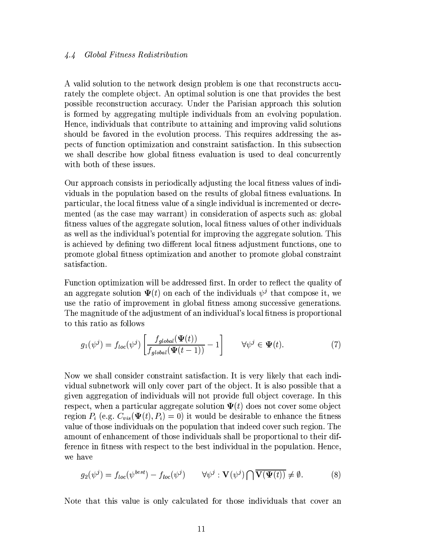#### Global Fitness Redistribution  $4.4$

A valid solution to the network design problem is one that reconstructs accurately the complete object. An optimal solution is one that provides the best possible reconstruction accuracy. Under the Parisian approach this solution is formed by aggregating multiple individuals from an evolving population. Hence, individuals that contribute to attaining and improving valid solutions should be favored in the evolution process. This requires addressing the aspects of function optimization and constraint satisfaction. In this subsection we shall describe how global fitness evaluation is used to deal concurrently with both of these issues.

Our approach consists in periodically adjusting the local fitness values of individuals in the population based on the results of global fitness evaluations. In particular, the local fitness value of a single individual is incremented or decremented (as the case may warrant) in consideration of aspects such as: global fitness values of the aggregate solution, local fitness values of other individuals as well as the individual's potential for improving the aggregate solution. This is achieved by defining two different local fitness adjustment functions, one to promote global fitness optimization and another to promote global constraint satisfaction.

Function optimization will be addressed first. In order to reflect the quality of an aggregate solution  $\Psi(t)$  on each of the individuals  $\psi^j$  that compose it, we use the ratio of improvement in global fitness among successive generations. The magnitude of the adjustment of an individual's local fitness is proportional to this ratio as follows

$$
g_1(\psi^j) = f_{loc}(\psi^j) \left[ \frac{f_{global}(\Psi(t))}{f_{global}(\Psi(t-1))} - 1 \right] \qquad \forall \psi^j \in \Psi(t).
$$
 (7)

Now we shall consider constraint satisfaction. It is very likely that each individual subnetwork will only cover part of the object. It is also possible that a given aggregation of individuals will not provide full object coverage. In this respect, when a particular aggregate solution  $\Psi(t)$  does not cover some object region  $P_i$  (e.g.  $C_{vis}(\Psi(t), P_i) = 0$ ) it would be desirable to enhance the fitness value of those individuals on the population that indeed cover such region. The amount of enhancement of those individuals shall be proportional to their difference in fitness with respect to the best individual in the population. Hence, we have

$$
g_2(\psi^j) = f_{loc}(\psi^{best}) - f_{loc}(\psi^j) \qquad \forall \psi^j : \mathbf{V}(\psi^j) \bigcap \overline{\mathbf{V}(\mathbf{\Psi}(t))} \neq \emptyset. \tag{8}
$$

Note that this value is only calculated for those individuals that cover an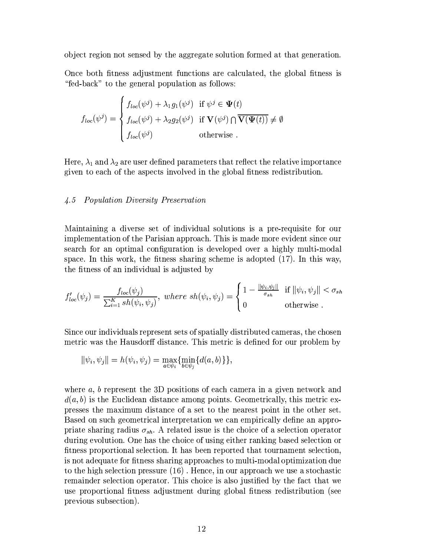object region not sensed by the aggregate solution formed at that generation.

Once both fitness adjustment functions are calculated, the global fitness is "fed-back" to the general population as follows:

$$
f_{loc}(\psi^j) = \begin{cases} f_{loc}(\psi^j) + \lambda_1 g_1(\psi^j) & \text{if } \psi^j \in \Psi(t) \\ f_{loc}(\psi^j) + \lambda_2 g_2(\psi^j) & \text{if } \mathbf{V}(\psi^j) \cap \overline{\mathbf{V}(\Psi(t))} \neq \emptyset \\ f_{loc}(\psi^j) & \text{otherwise} \end{cases}
$$

Here,  $\lambda_1$  and  $\lambda_2$  are user defined parameters that reflect the relative importance given to each of the aspects involved in the global fitness redistribution.

#### **Population Diversity Preservation**  $\mu.5$

Maintaining a diverse set of individual solutions is a pre-requisite for our implementation of the Parisian approach. This is made more evident since our search for an optimal configuration is developed over a highly multi-modal space. In this work, the fitness sharing scheme is adopted  $(17)$ . In this way, the fitness of an individual is adjusted by

$$
f'_{loc}(\psi_j) = \frac{f_{loc}(\psi_j)}{\sum_{i=1}^K sh(\psi_i, \psi_j)}, \text{ where } sh(\psi_i, \psi_j) = \begin{cases} 1 - \frac{\|\psi_i, \psi_j\|}{\sigma_{sh}} & \text{if } \|\psi_i, \psi_j\| < \sigma_{sh} \\ 0 & \text{otherwise} \end{cases}
$$

Since our individuals represent sets of spatially distributed cameras, the chosen metric was the Hausdorff distance. This metric is defined for our problem by

$$
\|\psi_i, \psi_j\| = h(\psi_i, \psi_j) = \max_{a \in \psi_i} \{\min_{b \in \psi_j} \{d(a, b)\}\},\
$$

where  $a, b$  represent the 3D positions of each camera in a given network and  $d(a, b)$  is the Euclidean distance among points. Geometrically, this metric expresses the maximum distance of a set to the nearest point in the other set. Based on such geometrical interpretation we can empirically define an appropriate sharing radius  $\sigma_{sh}$ . A related issue is the choice of a selection operator during evolution. One has the choice of using either ranking based selection or fitness proportional selection. It has been reported that tournament selection, is not adequate for fitness sharing approaches to multi-modal optimization due to the high selection pressure (16). Hence, in our approach we use a stochastic remainder selection operator. This choice is also justified by the fact that we use proportional fitness adjustment during global fitness redistribution (see previous subsection).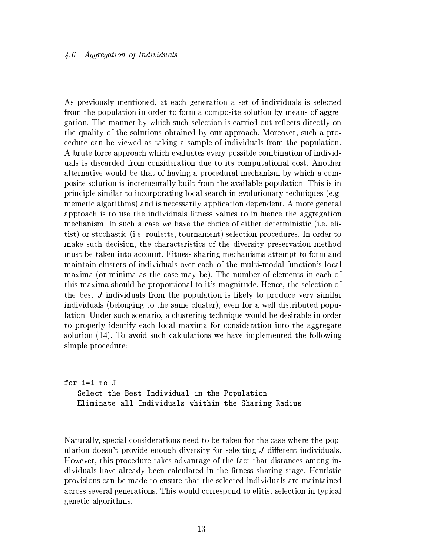#### *Aggregation of Individuals*  $\mu$ .6

As previously mentioned, at each generation a set of individuals is selected from the population in order to form a composite solution by means of aggregation. The manner by which such selection is carried out reflects directly on the quality of the solutions obtained by our approach. Moreover, such a procedure can be viewed as taking a sample of individuals from the population. A brute force approach which evaluates every possible combination of individuals is discarded from consideration due to its computational cost. Another alternative would be that of having a procedural mechanism by which a composite solution is incrementally built from the available population. This is in principle similar to incorporating local search in evolutionary techniques (e.g. memetic algorithms) and is necessarily application dependent. A more general approach is to use the individuals fitness values to influence the aggregation mechanism. In such a case we have the choice of either deterministic (i.e. elitist) or stochastic (i.e. roulette, tournament) selection procedures. In order to make such decision, the characteristics of the diversity preservation method must be taken into account. Fitness sharing mechanisms attempt to form and maintain clusters of individuals over each of the multi-modal function's local maxima (or minima as the case may be). The number of elements in each of this maxima should be proportional to it's magnitude. Hence, the selection of the best J individuals from the population is likely to produce very similar individuals (belonging to the same cluster), even for a well distributed population. Under such scenario, a clustering technique would be desirable in order to properly identify each local maxima for consideration into the aggregate solution (14). To avoid such calculations we have implemented the following simple procedure:

```
for i=1 to J
 Select the Best Individual in the Population
Eliminate all Individuals whithin the Sharing Radius
```
Naturally, special considerations need to be taken for the case where the population doesn't provide enough diversity for selecting  $J$  different individuals. However, this procedure takes advantage of the fact that distances among individuals have already been calculated in the fitness sharing stage. Heuristic provisions can be made to ensure that the selected individuals are maintained across several generations. This would correspond to elitist selection in typical genetic algorithms.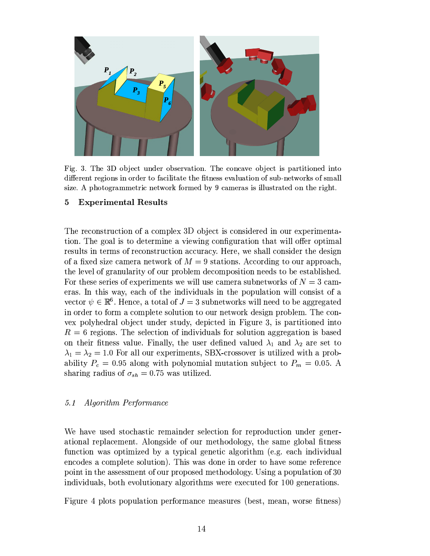

Fig. 3. The 3D object under observation. The concave object is partitioned into different regions in order to facilitate the fitness evaluation of sub-networks of small size. A photogrammetric network formed by 9 cameras is illustrated on the right.

## 5 **Experimental Results**

The reconstruction of a complex 3D object is considered in our experimentation. The goal is to determine a viewing configuration that will offer optimal results in terms of reconstruction accuracy. Here, we shall consider the design of a fixed size camera network of  $M = 9$  stations. According to our approach, the level of granularity of our problem decomposition needs to be established. For these series of experiments we will use camera subnetworks of  $N=3$  cameras. In this way, each of the individuals in the population will consist of a vector  $\psi \in \mathbb{R}^6$ . Hence, a total of  $J=3$  subnetworks will need to be aggregated in order to form a complete solution to our network design problem. The convex polyhedral object under study, depicted in Figure 3, is partitioned into  $R=6$  regions. The selection of individuals for solution aggregation is based on their fitness value. Finally, the user defined valued  $\lambda_1$  and  $\lambda_2$  are set to  $\lambda_1 = \lambda_2 = 1.0$  For all our experiments, SBX-crossover is utilized with a probability  $P_c = 0.95$  along with polynomial mutation subject to  $P_m = 0.05$ . A sharing radius of  $\sigma_{sh} = 0.75$  was utilized.

### $5.1$ *Algorithm Performance*

We have used stochastic remainder selection for reproduction under generational replacement. Alongside of our methodology, the same global fitness function was optimized by a typical genetic algorithm (e.g. each individual encodes a complete solution). This was done in order to have some reference point in the assessment of our proposed methodology. Using a population of 30 individuals, both evolutionary algorithms were executed for 100 generations.

Figure 4 plots population performance measures (best, mean, worse fitness)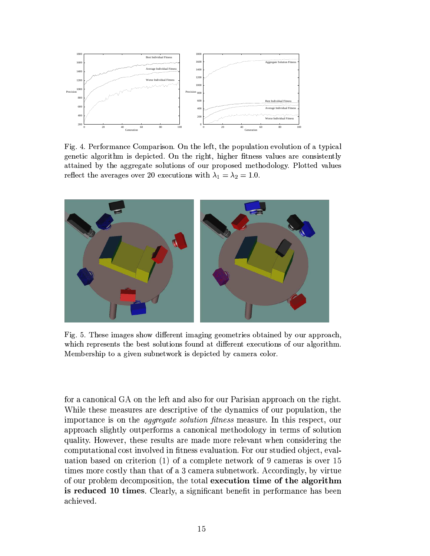

Fig. 4. Performance Comparison. On the left, the population evolution of a typical genetic algorithm is depicted. On the right, higher fitness values are consistently attained by the aggregate solutions of our proposed methodology. Plotted values reflect the averages over 20 executions with  $\lambda_1 = \lambda_2 = 1.0$ .



Fig. 5. These images show different imaging geometries obtained by our approach, which represents the best solutions found at different executions of our algorithm. Membership to a given subnetwork is depicted by camera color.

for a canonical GA on the left and also for our Parisian approach on the right. While these measures are descriptive of the dynamics of our population, the importance is on the *aggregate solution fitness* measure. In this respect, our approach slightly outperforms a canonical methodology in terms of solution quality. However, these results are made more relevant when considering the computational cost involved in fitness evaluation. For our studied object, evaluation based on criterion  $(1)$  of a complete network of 9 cameras is over 15 times more costly than that of a 3 camera subnetwork. Accordingly, by virtue of our problem decomposition, the total execution time of the algorithm is reduced 10 times. Clearly, a significant benefit in performance has been achieved.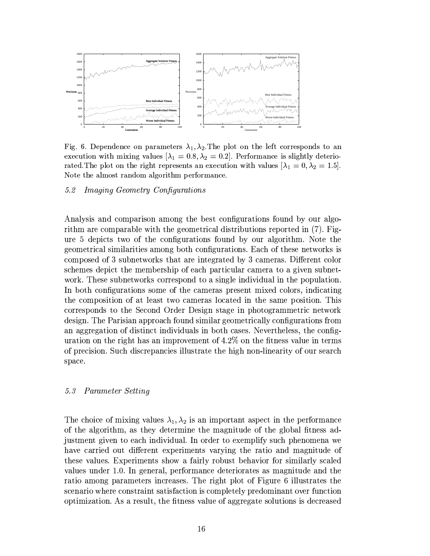

Fig. 6. Dependence on parameters  $\lambda_1, \lambda_2$ . The plot on the left corresponds to an execution with mixing values  $[\lambda_1 = 0.8, \lambda_2 = 0.2]$ . Performance is slightly deteriorated. The plot on the right represents an execution with values  $[\lambda_1 = 0, \lambda_2 = 1.5]$ . Note the almost random algorithm performance.

#### *Imaging Geometry Configurations*  $5.2$

Analysis and comparison among the best configurations found by our algorithm are comparable with the geometrical distributions reported in (7). Figure 5 depicts two of the configurations found by our algorithm. Note the geometrical similarities among both configurations. Each of these networks is composed of 3 subnetworks that are integrated by 3 cameras. Different color schemes depict the membership of each particular camera to a given subnetwork. These subnetworks correspond to a single individual in the population. In both configurations some of the cameras present mixed colors, indicating the composition of at least two cameras located in the same position. This corresponds to the Second Order Design stage in photogrammetric network design. The Parisian approach found similar geometrically configurations from an aggregation of distinct individuals in both cases. Nevertheless, the configuration on the right has an improvement of  $4.2\%$  on the fitness value in terms of precision. Such discrepancies illustrate the high non-linearity of our search space.

#### Parameter Setting 5.3

The choice of mixing values  $\lambda_1, \lambda_2$  is an important aspect in the performance of the algorithm, as they determine the magnitude of the global fitness adjustment given to each individual. In order to exemplify such phenomena we have carried out different experiments varying the ratio and magnitude of these values. Experiments show a fairly robust behavior for similarly scaled values under 1.0. In general, performance deteriorates as magnitude and the ratio among parameters increases. The right plot of Figure 6 illustrates the scenario where constraint satisfaction is completely predominant over function optimization. As a result, the fitness value of aggregate solutions is decreased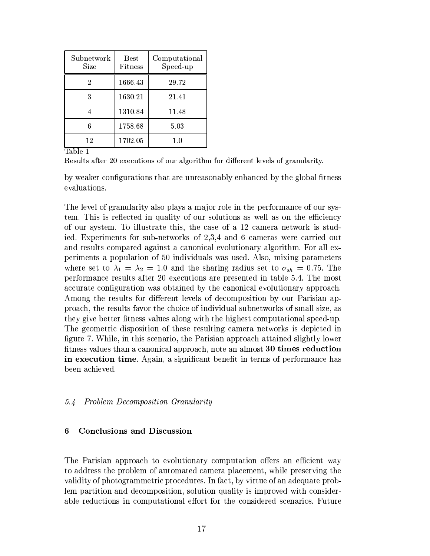| Subnetwork<br>Size | Best<br>Fitness | Computational<br>Speed-up |
|--------------------|-----------------|---------------------------|
| 2                  | 1666.43         | 29.72                     |
|                    | 1630.21         | 21.41                     |
|                    | 1310.84         | 11.48                     |
|                    | 1758.68         | 5.03                      |
| 12                 | 1702.05         | $1.0\,$                   |

Table 1

Results after 20 executions of our algorithm for different levels of granularity.

by weaker configurations that are unreasonably enhanced by the global fitness evaluations.

The level of granularity also plays a major role in the performance of our system. This is reflected in quality of our solutions as well as on the efficiency of our system. To illustrate this, the case of a 12 camera network is studied. Experiments for sub-networks of 2,3,4 and 6 cameras were carried out and results compared against a canonical evolutionary algorithm. For all experiments a population of 50 individuals was used. Also, mixing parameters where set to  $\lambda_1 = \lambda_2 = 1.0$  and the sharing radius set to  $\sigma_{sh} = 0.75$ . The performance results after 20 executions are presented in table 5.4. The most accurate configuration was obtained by the canonical evolutionary approach. Among the results for different levels of decomposition by our Parisian approach, the results favor the choice of individual subnetworks of small size, as they give better fitness values along with the highest computational speed-up. The geometric disposition of these resulting camera networks is depicted in figure 7. While, in this scenario, the Parisian approach attained slightly lower fitness values than a canonical approach, note an almost 30 times reduction in execution time. Again, a significant benefit in terms of performance has been achieved.

### **Problem Decomposition Granularity**  $5.4$

#### **Conclusions and Discussion** 6

The Parisian approach to evolutionary computation offers an efficient way to address the problem of automated camera placement, while preserving the validity of photogrammetric procedures. In fact, by virtue of an adequate problem partition and decomposition, solution quality is improved with considerable reductions in computational effort for the considered scenarios. Future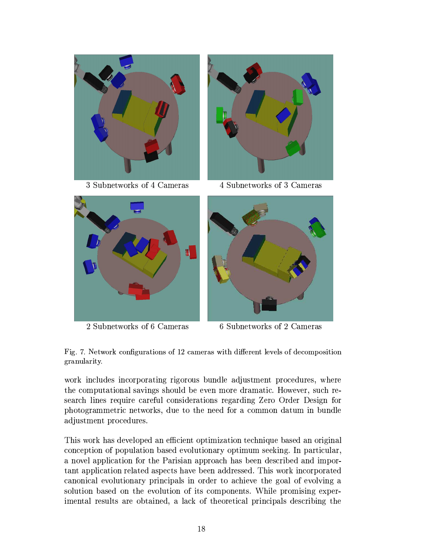

3 Subnetworks of 4 Cameras



2 Subnetworks of 6 Cameras



4 Subnetworks of 3 Cameras



6 Subnetworks of 2 Cameras

Fig. 7. Network configurations of 12 cameras with different levels of decomposition granularity.

work includes incorporating rigorous bundle adjustment procedures, where the computational savings should be even more dramatic. However, such research lines require careful considerations regarding Zero Order Design for photogrammetric networks, due to the need for a common datum in bundle adjustment procedures.

This work has developed an efficient optimization technique based an original conception of population based evolutionary optimum seeking. In particular, a novel application for the Parisian approach has been described and important application related aspects have been addressed. This work incorporated canonical evolutionary principals in order to achieve the goal of evolving a solution based on the evolution of its components. While promising experimental results are obtained, a lack of theoretical principals describing the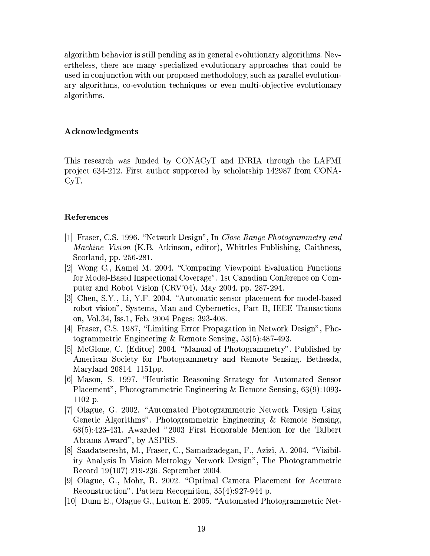algorithm behavior is still pending as in general evolutionary algorithms. Nevertheless, there are many specialized evolutionary approaches that could be used in conjunction with our proposed methodology, such as parallel evolutionary algorithms, co-evolution techniques or even multi-objective evolutionary algorithms.

# Acknowledgments

This research was funded by CONACyT and INRIA through the LAFMI project 634-212. First author supported by scholarship 142987 from CONA- $C_{y}T$ .

# References

- [1] Fraser, C.S. 1996. "Network Design", In Close Range Photogrammetry and *Machine Vision* (K.B. Atkinson, editor), Whittles Publishing, Caithness, Scotland, pp. 256-281.
- [2] Wong C., Kamel M. 2004. "Comparing Viewpoint Evaluation Functions" for Model-Based Inspectional Coverage". 1st Canadian Conference on Computer and Robot Vision (CRV'04). May 2004. pp. 287-294.
- [3] Chen, S.Y., Li, Y.F. 2004. "Automatic sensor placement for model-based robot vision", Systems, Man and Cybernetics, Part B, IEEE Transactions on, Vol.34, Iss.1, Feb. 2004 Pages: 393-408.
- [4] Fraser, C.S. 1987, "Limiting Error Propagation in Network Design", Photogrammetric Engineering & Remote Sensing,  $53(5):487-493$ .
- [5] McGlone, C. (Editor) 2004. "Manual of Photogrammetry". Published by American Society for Photogrammetry and Remote Sensing. Bethesda, Maryland 20814. 1151pp.
- 6 Mason, S. 1997. "Heuristic Reasoning Strategy for Automated Sensor Placement", Photogrammetric Engineering & Remote Sensing, 63(9):1093- $1102$  p.
- [7] Olague, G. 2002. "Automated Photogrammetric Network Design Using Genetic Algorithms". Photogrammetric Engineering & Remote Sensing, 68(5):423-431. Awarded "2003 First Honorable Mention for the Talbert Abrams Award", by ASPRS.
- [8] Saadatseresht, M., Fraser, C., Samadzadegan, F., Azizi, A. 2004. "Visibility Analysis In Vision Metrology Network Design", The Photogrammetric Record 19(107):219-236. September 2004.
- [9] Olague, G., Mohr, R. 2002. "Optimal Camera Placement for Accurate Reconstruction". Pattern Recognition, 35(4):927-944 p.
- [10] Dunn E., Olague G., Lutton E. 2005. "Automated Photogrammetric Net-